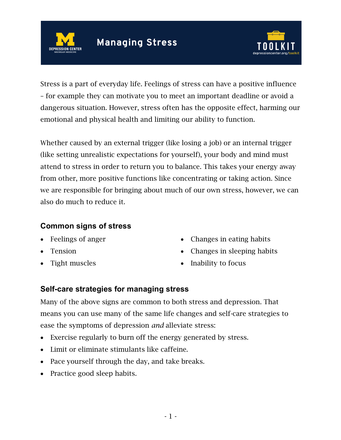



Stress is a part of everyday life. Feelings of stress can have a positive influence – for example they can motivate you to meet an important deadline or avoid a dangerous situation. However, stress often has the opposite effect, harming our emotional and physical health and limiting our ability to function.

Whether caused by an external trigger (like losing a job) or an internal trigger (like setting unrealistic expectations for yourself), your body and mind must attend to stress in order to return you to balance. This takes your energy away from other, more positive functions like concentrating or taking action. Since we are responsible for bringing about much of our own stress, however, we can also do much to reduce it.

## **Common signs of stress**

- Feelings of anger
- Tension
- Tight muscles
- Changes in eating habits
- Changes in sleeping habits
- Inability to focus

## **Self-care strategies for managing stress**

Many of the above signs are common to both stress and depression. That means you can use many of the same life changes and self-care strategies to ease the symptoms of depression *and* alleviate stress:

- Exercise regularly to burn off the energy generated by stress.
- Limit or eliminate stimulants like caffeine.
- Pace yourself through the day, and take breaks.
- Practice good sleep habits.